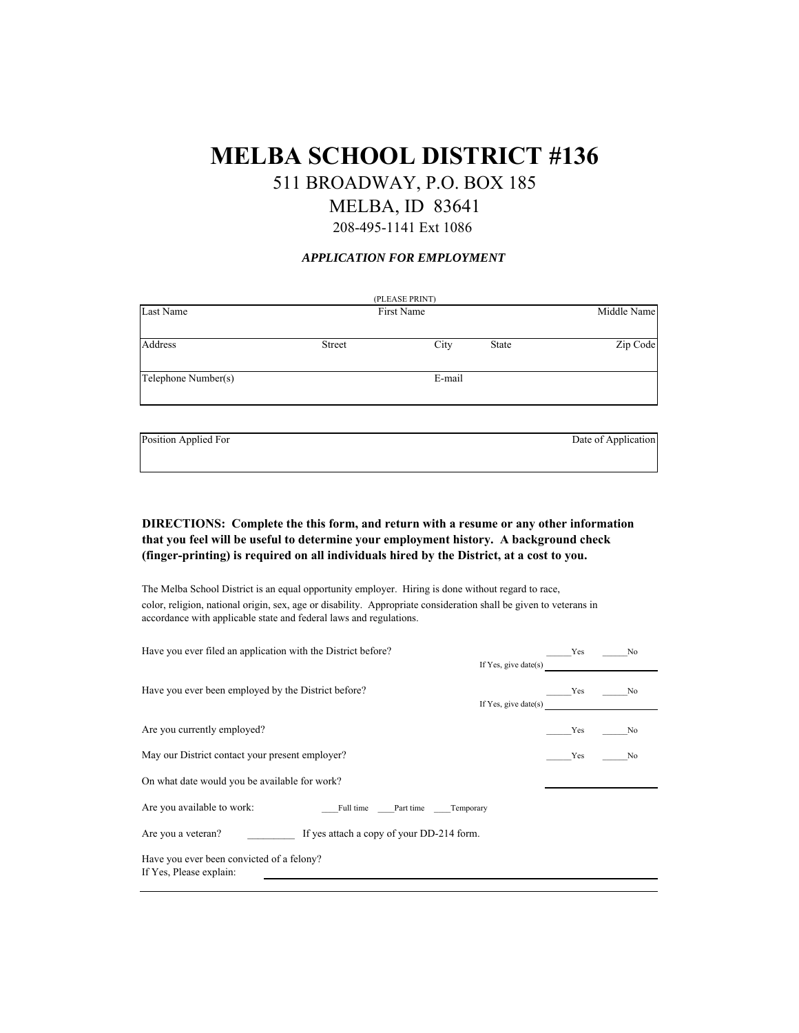# **MELBA SCHOOL DISTRICT #136**

511 BROADWAY, P.O. BOX 185

## MELBA, ID 83641

208-495-1141 Ext 1086

#### *APPLICATION FOR EMPLOYMENT*

| (PLEASE PRINT)      |               |        |       |             |
|---------------------|---------------|--------|-------|-------------|
| Last Name           | First Name    |        |       | Middle Name |
|                     |               |        |       |             |
| Address             | <b>Street</b> | City   | State | Zip Code    |
|                     |               |        |       |             |
| Telephone Number(s) |               | E-mail |       |             |
|                     |               |        |       |             |

Position Applied For Date of Application

**DIRECTIONS: Complete the this form, and return with a resume or any other information that you feel will be useful to determine your employment history. A background check (finger-printing) is required on all individuals hired by the District, at a cost to you.**

The Melba School District is an equal opportunity employer. Hiring is done without regard to race, color, religion, national origin, sex, age or disability. Appropriate consideration shall be given to veterans in accordance with applicable state and federal laws and regulations.

| Have you ever filed an application with the District before?<br>If Yes, give date(s) | Yes | No  |  |
|--------------------------------------------------------------------------------------|-----|-----|--|
| Have you ever been employed by the District before?<br>If Yes, give date(s)          | Yes | No. |  |
| Are you currently employed?                                                          | Yes | No  |  |
| May our District contact your present employer?                                      | Yes | No  |  |
| On what date would you be available for work?                                        |     |     |  |
| Are you available to work:<br>Full time Part time Temporary                          |     |     |  |
| If yes attach a copy of your DD-214 form.<br>Are you a veteran?                      |     |     |  |
| Have you ever been convicted of a felony?<br>If Yes, Please explain:                 |     |     |  |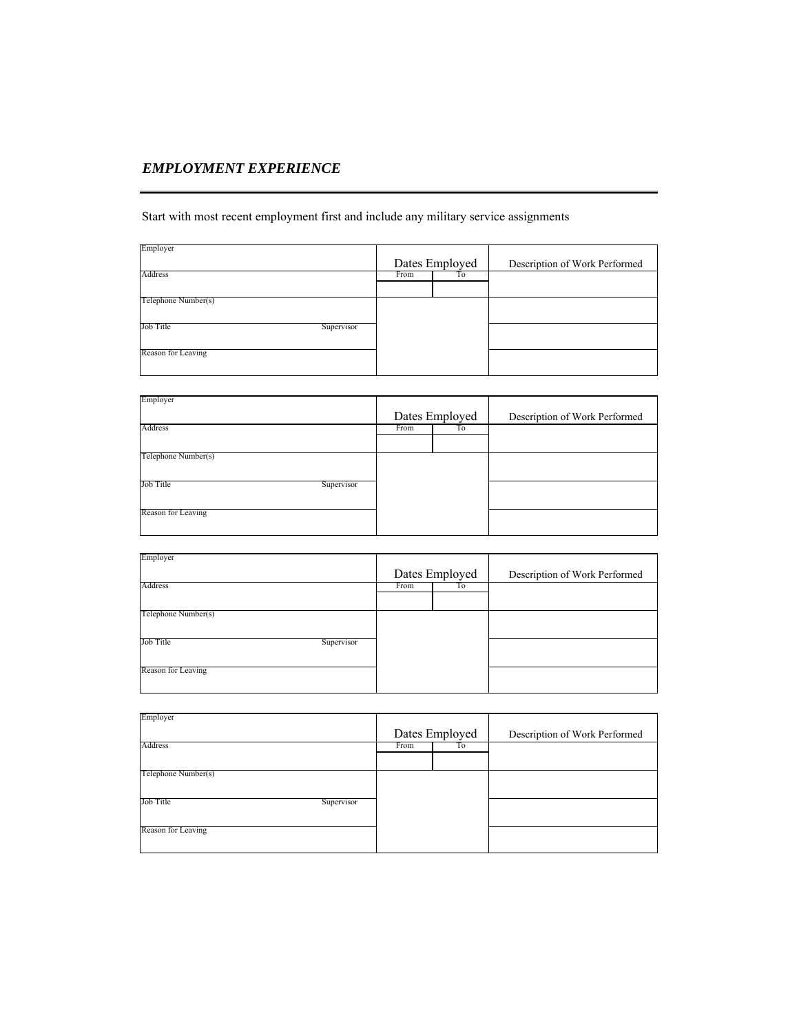## *EMPLOYMENT EXPERIENCE*

Start with most recent employment first and include any military service assignments

| Employer                | Dates Employed | Description of Work Performed |
|-------------------------|----------------|-------------------------------|
| Address                 | To<br>From     |                               |
| Telephone Number(s)     |                |                               |
| Job Title<br>Supervisor |                |                               |
| Reason for Leaving      |                |                               |

| Employer                |                |    |                               |
|-------------------------|----------------|----|-------------------------------|
|                         | Dates Employed |    | Description of Work Performed |
| Address                 | From           | Τo |                               |
|                         |                |    |                               |
| Telephone Number(s)     |                |    |                               |
|                         |                |    |                               |
| Job Title<br>Supervisor |                |    |                               |
|                         |                |    |                               |
| Reason for Leaving      |                |    |                               |
|                         |                |    |                               |

| Employer                |                |    |                               |
|-------------------------|----------------|----|-------------------------------|
|                         | Dates Employed |    | Description of Work Performed |
| Address                 | From           | Тo |                               |
|                         |                |    |                               |
| Telephone Number(s)     |                |    |                               |
|                         |                |    |                               |
| Job Title<br>Supervisor |                |    |                               |
|                         |                |    |                               |
| Reason for Leaving      |                |    |                               |
|                         |                |    |                               |

| Employer                       |                |    |                               |
|--------------------------------|----------------|----|-------------------------------|
|                                | Dates Employed |    | Description of Work Performed |
| Address                        | From           | To |                               |
|                                |                |    |                               |
| Telephone Number(s)            |                |    |                               |
|                                |                |    |                               |
| <b>Job Title</b><br>Supervisor |                |    |                               |
|                                |                |    |                               |
| Reason for Leaving             |                |    |                               |
|                                |                |    |                               |